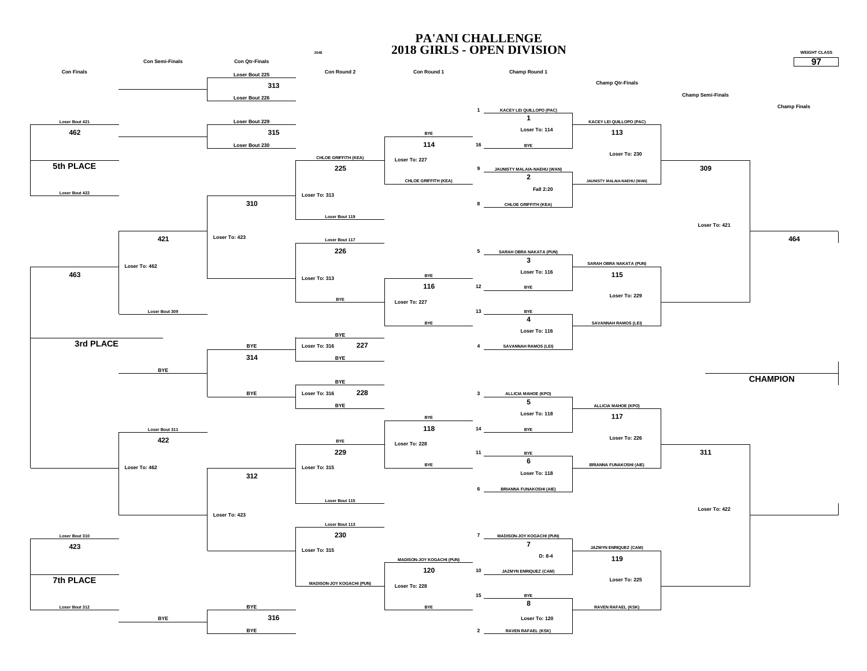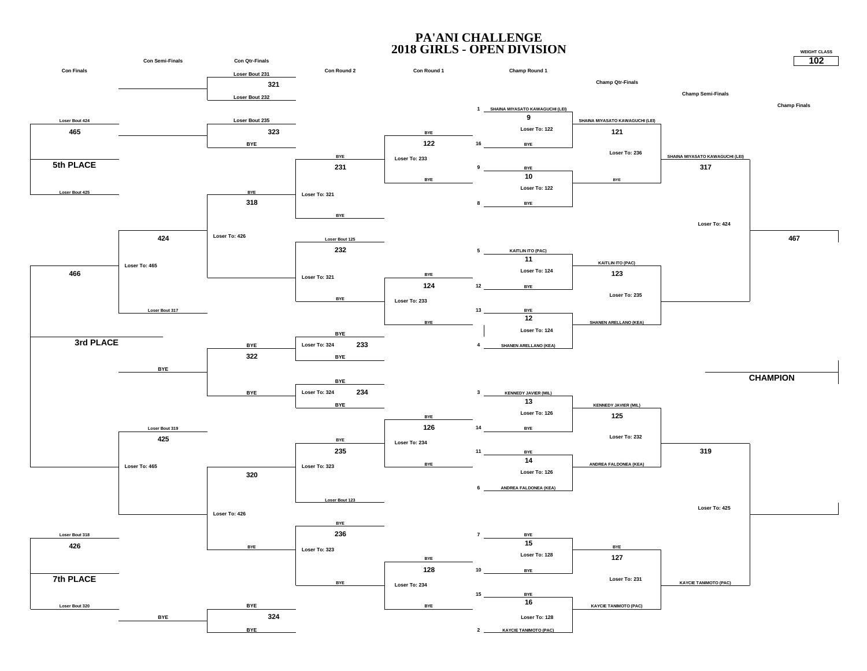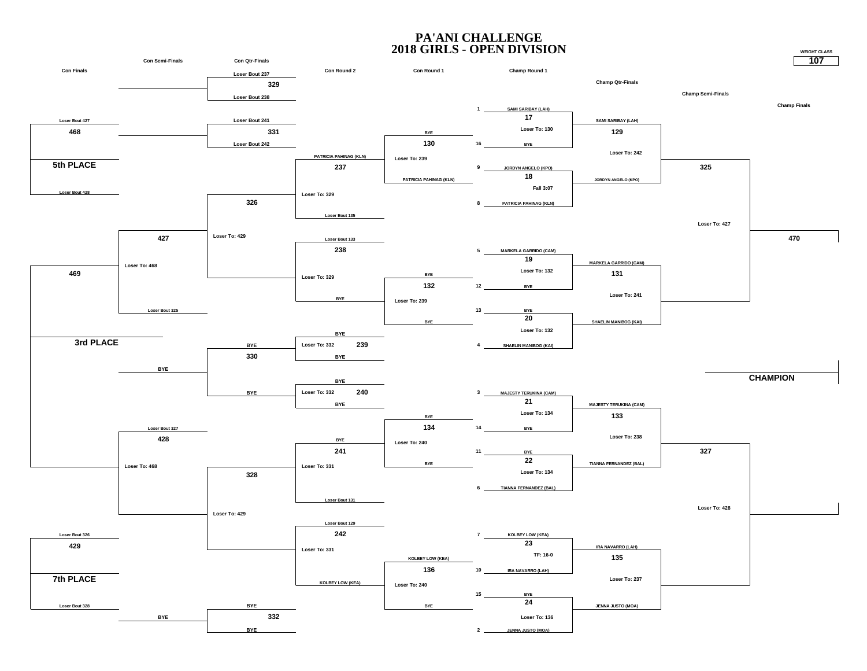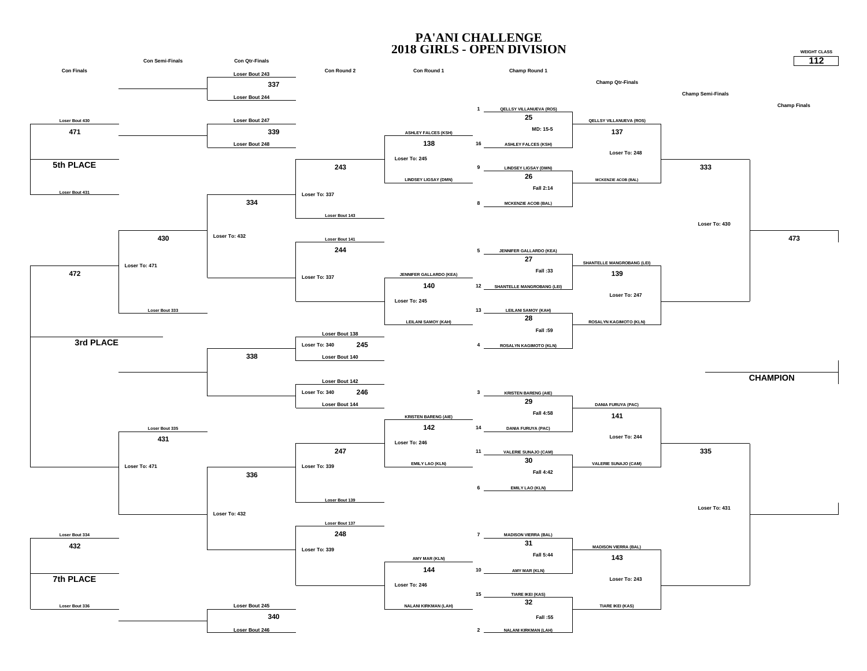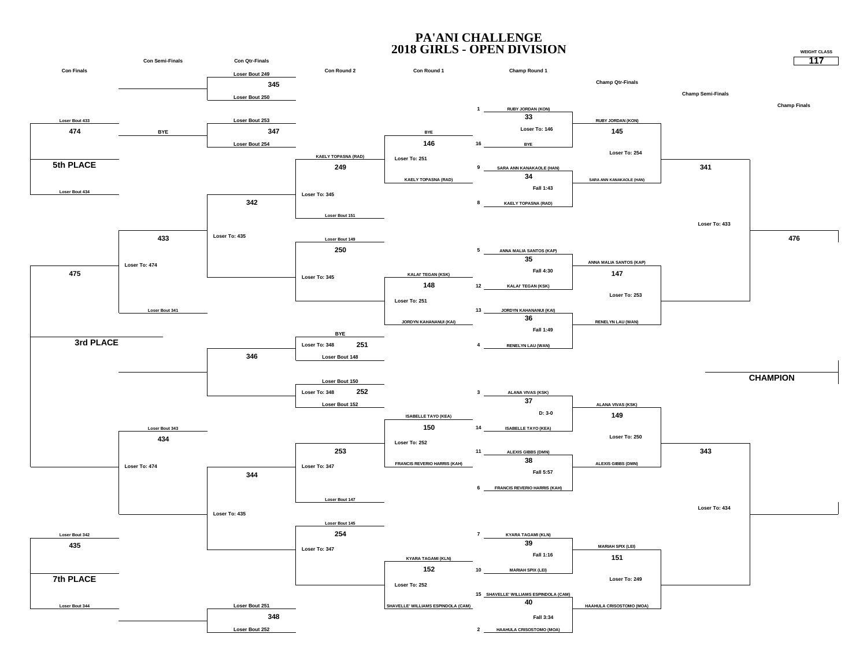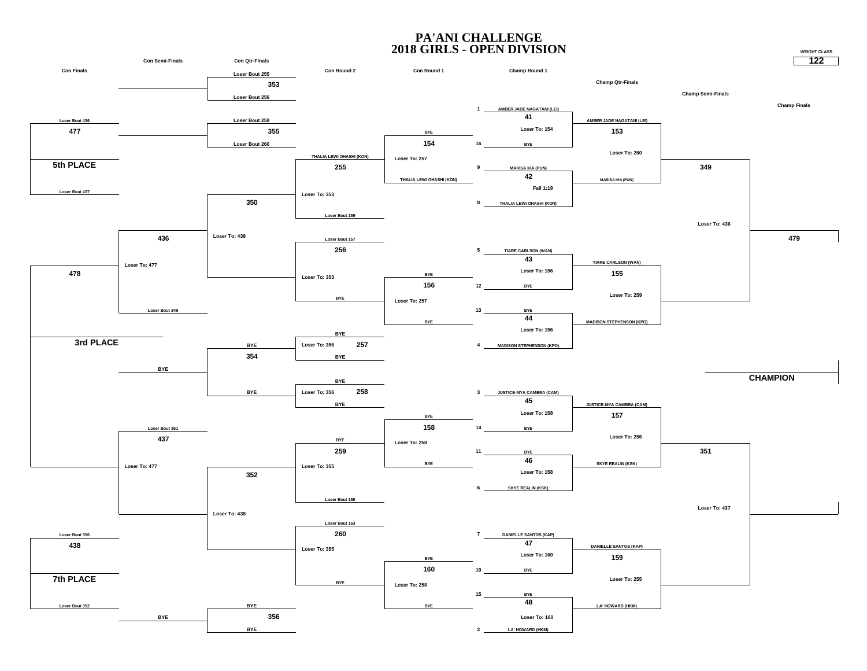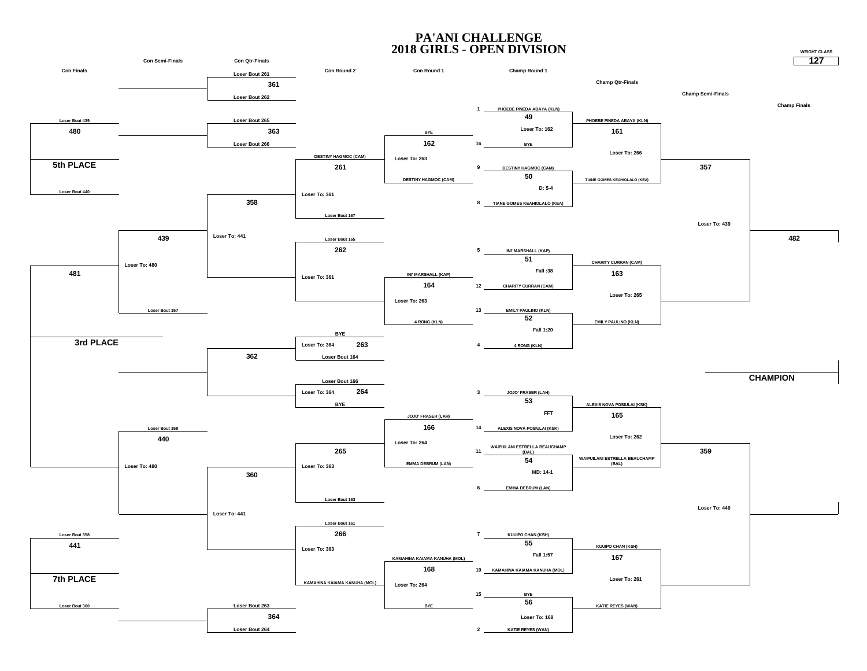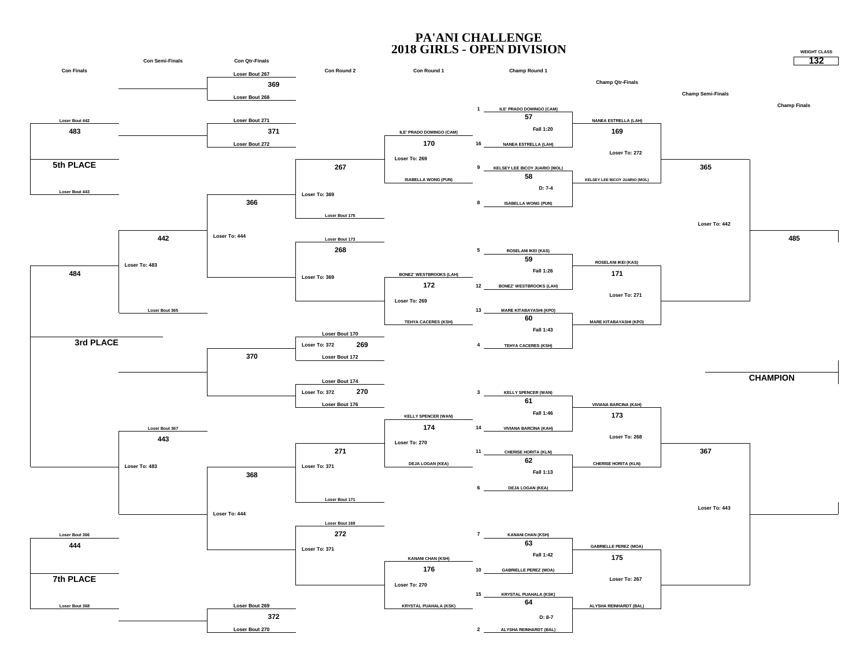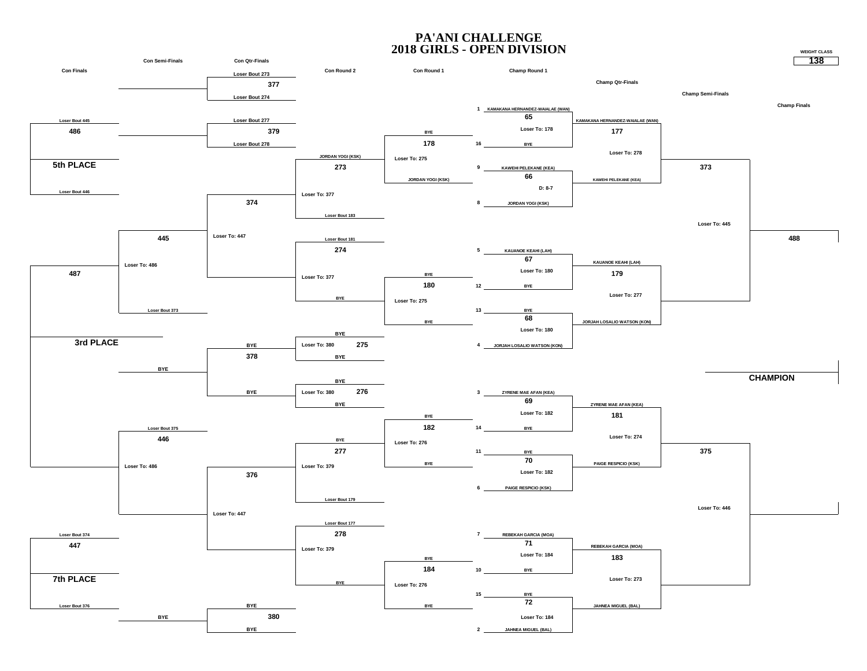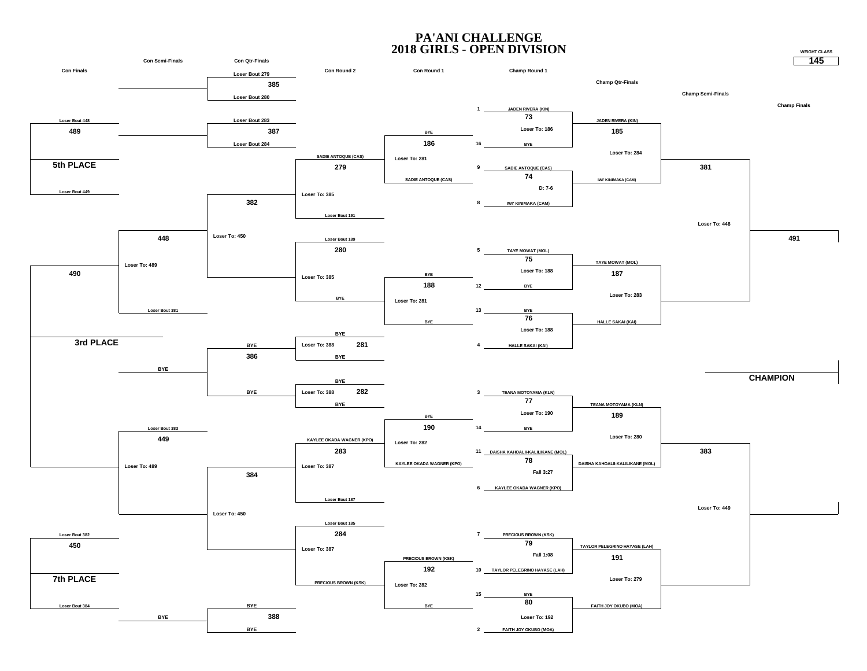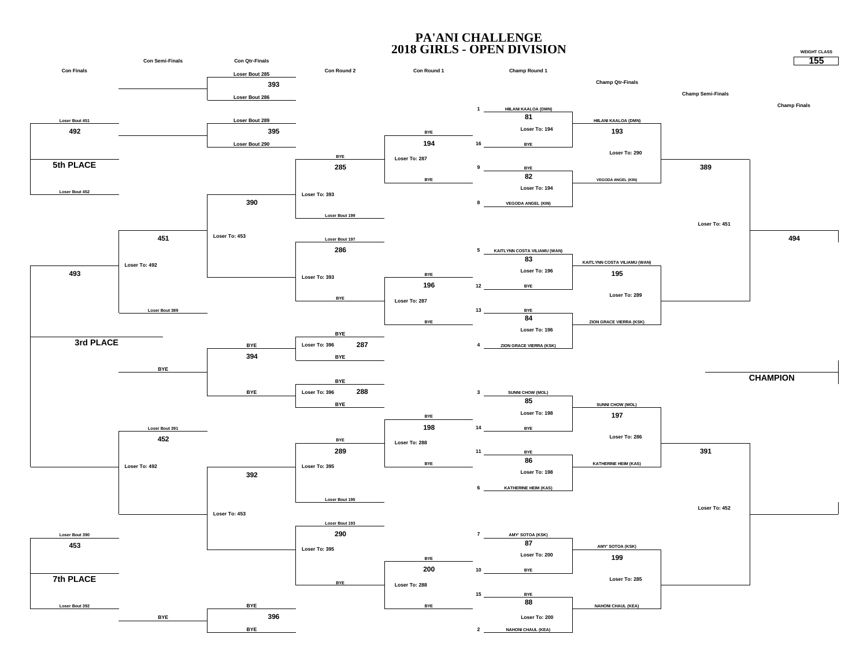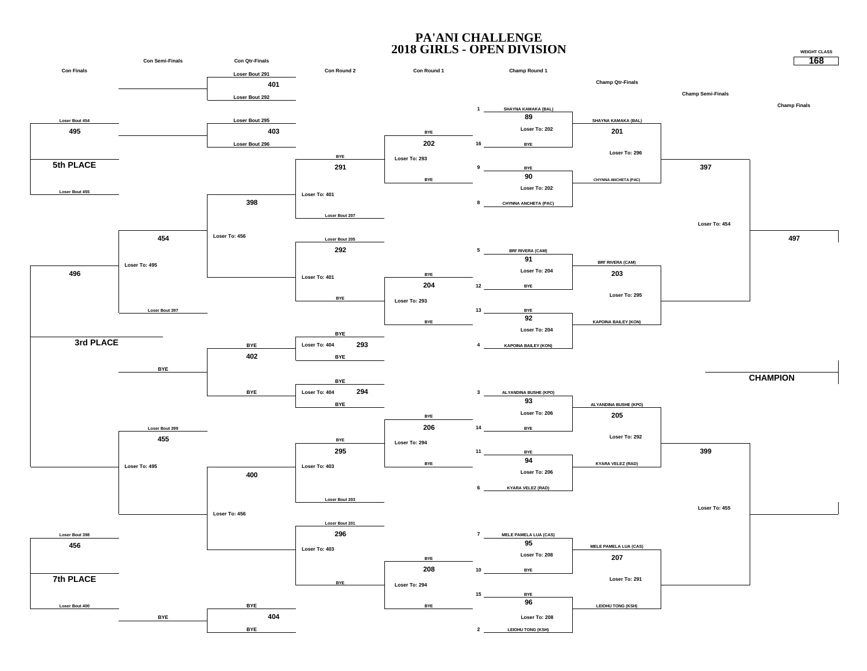![](_page_11_Figure_1.jpeg)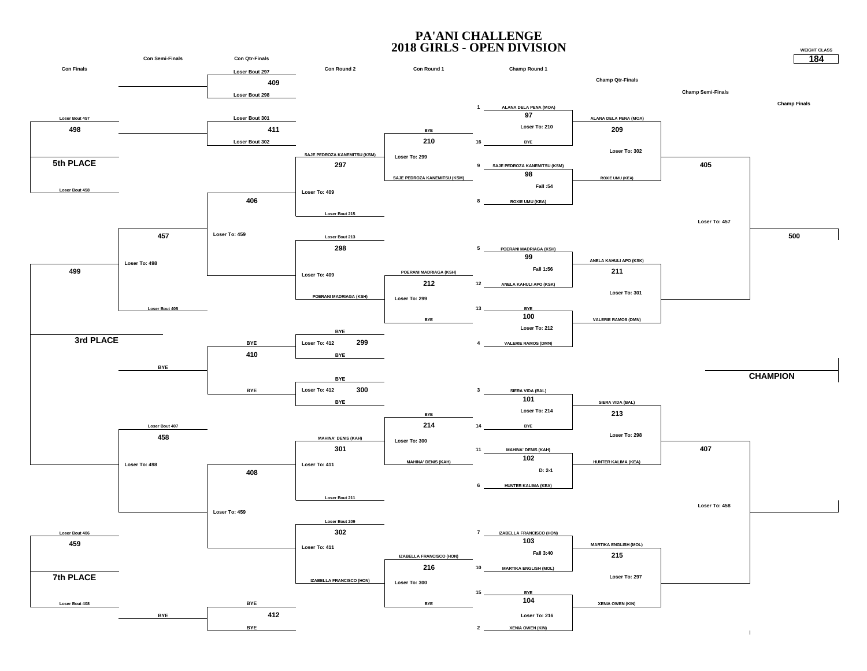![](_page_12_Figure_1.jpeg)

**184**